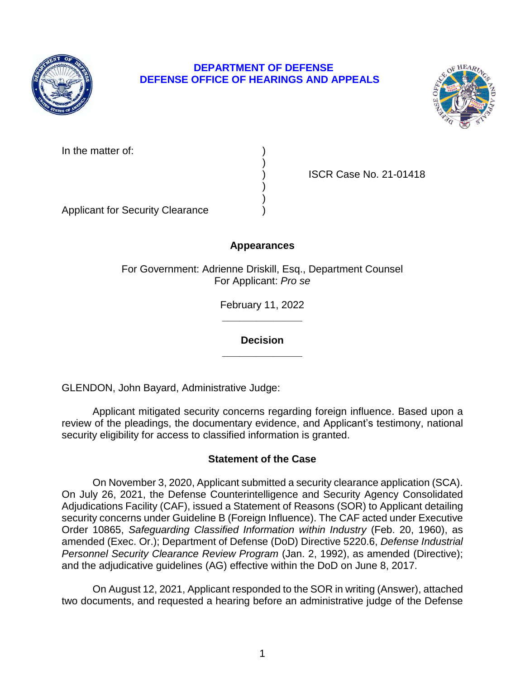

## **DEPARTMENT OF DEFENSE DEFENSE OFFICE OF HEARINGS AND APPEALS**



In the matter of:

) ISCR Case No. 21-01418

Applicant for Security Clearance )

# **Appearances**

)

) )

For Government: Adrienne Driskill, Esq., Department Counsel For Applicant: *Pro se* 

> **\_\_\_\_\_\_\_\_\_\_\_\_\_\_**  February 11, 2022

**\_\_\_\_\_\_\_\_\_\_\_\_\_\_ Decision** 

GLENDON, John Bayard, Administrative Judge:

 Applicant mitigated security concerns regarding foreign influence. Based upon a review of the pleadings, the documentary evidence, and Applicant's testimony, national security eligibility for access to classified information is granted.

## **Statement of the Case**

 On November 3, 2020, Applicant submitted a security clearance application (SCA). On July 26, 2021, the Defense Counterintelligence and Security Agency Consolidated Adjudications Facility (CAF), issued a Statement of Reasons (SOR) to Applicant detailing security concerns under Guideline B (Foreign Influence). The CAF acted under Executive  Order 10865, *Safeguarding Classified Information within Industry* (Feb. 20, 1960), as amended (Exec. Or.); Department of Defense (DoD) Directive 5220.6, *Defense Industrial*  Personnel Security Clearance Review Program (Jan. 2, 1992), as amended (Directive); and the adjudicative guidelines (AG) effective within the DoD on June 8, 2017.

 two documents, and requested a hearing before an administrative judge of the Defense On August 12, 2021, Applicant responded to the SOR in writing (Answer), attached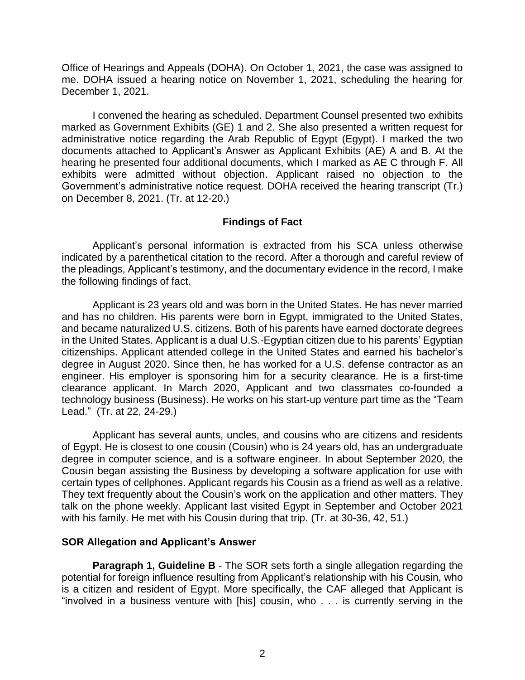Office of Hearings and Appeals (DOHA). On October 1, 2021, the case was assigned to me. DOHA issued a hearing notice on November 1, 2021, scheduling the hearing for December 1, 2021.

 I convened the hearing as scheduled. Department Counsel presented two exhibits marked as Government Exhibits (GE) 1 and 2. She also presented a written request for administrative notice regarding the Arab Republic of Egypt (Egypt). I marked the two documents attached to Applicant's Answer as Applicant Exhibits (AE) A and B. At the hearing he presented four additional documents, which I marked as AE C through F. All exhibits were admitted without objection. Applicant raised no objection to the Government's administrative notice request. DOHA received the hearing transcript (Tr.) on December 8, 2021. (Tr. at 12-20.)

## **Findings of Fact**

 Applicant's personal information is extracted from his SCA unless otherwise indicated by a parenthetical citation to the record. After a thorough and careful review of the pleadings, Applicant's testimony, and the documentary evidence in the record, I make the following findings of fact.

 Applicant is 23 years old and was born in the United States. He has never married and has no children. His parents were born in Egypt, immigrated to the United States, and became naturalized U.S. citizens. Both of his parents have earned doctorate degrees in the United States. Applicant is a dual U.S.-Egyptian citizen due to his parents' Egyptian citizenships. Applicant attended college in the United States and earned his bachelor's degree in August 2020. Since then, he has worked for a U.S. defense contractor as an engineer. His employer is sponsoring him for a security clearance. He is a first-time clearance applicant. In March 2020, Applicant and two classmates co-founded a technology business (Business). He works on his start-up venture part time as the "Team Lead." (Tr. at 22, 24-29.)

 Applicant has several aunts, uncles, and cousins who are citizens and residents of Egypt. He is closest to one cousin (Cousin) who is 24 years old, has an undergraduate degree in computer science, and is a software engineer. In about September 2020, the Cousin began assisting the Business by developing a software application for use with certain types of cellphones. Applicant regards his Cousin as a friend as well as a relative. They text frequently about the Cousin's work on the application and other matters. They talk on the phone weekly. Applicant last visited Egypt in September and October 2021 with his family. He met with his Cousin during that trip. (Tr. at 30-36, 42, 51.)

### **SOR Allegation and Applicant's Answer**

 **Paragraph 1, Guideline B** - The SOR sets forth a single allegation regarding the potential for foreign influence resulting from Applicant's relationship with his Cousin, who is a citizen and resident of Egypt. More specifically, the CAF alleged that Applicant is "involved in a business venture with [his] cousin, who . . . is currently serving in the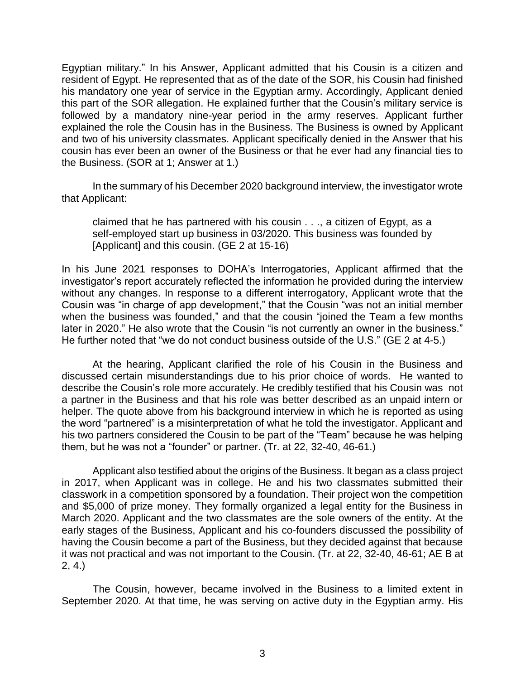Egyptian military." In his Answer, Applicant admitted that his Cousin is a citizen and resident of Egypt. He represented that as of the date of the SOR, his Cousin had finished his mandatory one year of service in the Egyptian army. Accordingly, Applicant denied this part of the SOR allegation. He explained further that the Cousin's military service is followed by a mandatory nine-year period in the army reserves. Applicant further explained the role the Cousin has in the Business. The Business is owned by Applicant and two of his university classmates. Applicant specifically denied in the Answer that his cousin has ever been an owner of the Business or that he ever had any financial ties to the Business. (SOR at 1; Answer at 1.)

 In the summary of his December 2020 background interview, the investigator wrote that Applicant:

claimed that he has partnered with his cousin . . ., a citizen of Egypt, as a self-employed start up business in 03/2020. This business was founded by [Applicant] and this cousin. (GE 2 at 15-16)

 without any changes. In response to a different interrogatory, Applicant wrote that the Cousin was "in charge of app development," that the Cousin "was not an initial member when the business was founded," and that the cousin "joined the Team a few months later in 2020." He also wrote that the Cousin "is not currently an owner in the business." He further noted that "we do not conduct business outside of the U.S." (GE 2 at 4-5.) In his June 2021 responses to DOHA's Interrogatories, Applicant affirmed that the investigator's report accurately reflected the information he provided during the interview

 He further noted that "we do not conduct business outside of the U.S." (GE 2 at 4-5.) At the hearing, Applicant clarified the role of his Cousin in the Business and discussed certain misunderstandings due to his prior choice of words. He wanted to describe the Cousin's role more accurately. He credibly testified that his Cousin was not a partner in the Business and that his role was better described as an unpaid intern or helper. The quote above from his background interview in which he is reported as using the word "partnered" is a misinterpretation of what he told the investigator. Applicant and his two partners considered the Cousin to be part of the "Team" because he was helping them, but he was not a "founder" or partner. (Tr. at 22, 32-40, 46-61.)

 Applicant also testified about the origins of the Business. It began as a class project in 2017, when Applicant was in college. He and his two classmates submitted their and \$5,000 of prize money. They formally organized a legal entity for the Business in March 2020. Applicant and the two classmates are the sole owners of the entity. At the early stages of the Business, Applicant and his co-founders discussed the possibility of having the Cousin become a part of the Business, but they decided against that because it was not practical and was not important to the Cousin. (Tr. at 22, 32-40, 46-61; AE B at classwork in a competition sponsored by a foundation. Their project won the competition 2, 4.)

 The Cousin, however, became involved in the Business to a limited extent in September 2020. At that time, he was serving on active duty in the Egyptian army. His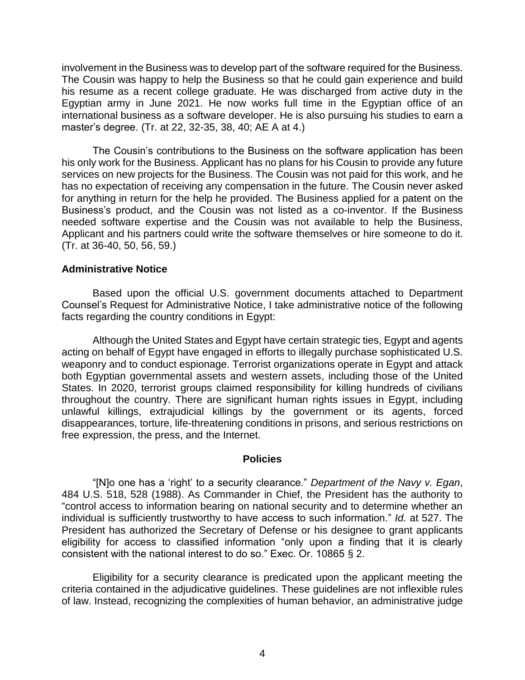involvement in the Business was to develop part of the software required for the Business. The Cousin was happy to help the Business so that he could gain experience and build his resume as a recent college graduate. He was discharged from active duty in the Egyptian army in June 2021. He now works full time in the Egyptian office of an international business as a software developer. He is also pursuing his studies to earn a master's degree. (Tr. at 22, 32-35, 38, 40; AE A at 4.)

The Cousin's contributions to the Business on the software application has been his only work for the Business. Applicant has no plans for his Cousin to provide any future services on new projects for the Business. The Cousin was not paid for this work, and he has no expectation of receiving any compensation in the future. The Cousin never asked for anything in return for the help he provided. The Business applied for a patent on the Business's product, and the Cousin was not listed as a co-inventor. If the Business needed software expertise and the Cousin was not available to help the Business, Applicant and his partners could write the software themselves or hire someone to do it. (Tr. at 36-40, 50, 56, 59.)

#### **Administrative Notice**

 Based upon the official U.S. government documents attached to Department Counsel's Request for Administrative Notice, I take administrative notice of the following facts regarding the country conditions in Egypt:

 Although the United States and Egypt have certain strategic ties, Egypt and agents acting on behalf of Egypt have engaged in efforts to illegally purchase sophisticated U.S. weaponry and to conduct espionage. Terrorist organizations operate in Egypt and attack both Egyptian governmental assets and western assets, including those of the United States. In 2020, terrorist groups claimed responsibility for killing hundreds of civilians throughout the country. There are significant human rights issues in Egypt, including unlawful killings, extrajudicial killings by the government or its agents, forced disappearances, torture, life-threatening conditions in prisons, and serious restrictions on free expression, the press, and the Internet.

#### **Policies**

 "[N]o one has a 'right' to a security clearance." *Department of the Navy v. Egan*, 484 U.S. 518, 528 (1988). As Commander in Chief, the President has the authority to "control access to information bearing on national security and to determine whether an individual is sufficiently trustworthy to have access to such information." *Id.* at 527. The President has authorized the Secretary of Defense or his designee to grant applicants eligibility for access to classified information "only upon a finding that it is clearly consistent with the national interest to do so." Exec. Or. 10865 § 2.

 Eligibility for a security clearance is predicated upon the applicant meeting the criteria contained in the adjudicative guidelines. These guidelines are not inflexible rules of law. Instead, recognizing the complexities of human behavior, an administrative judge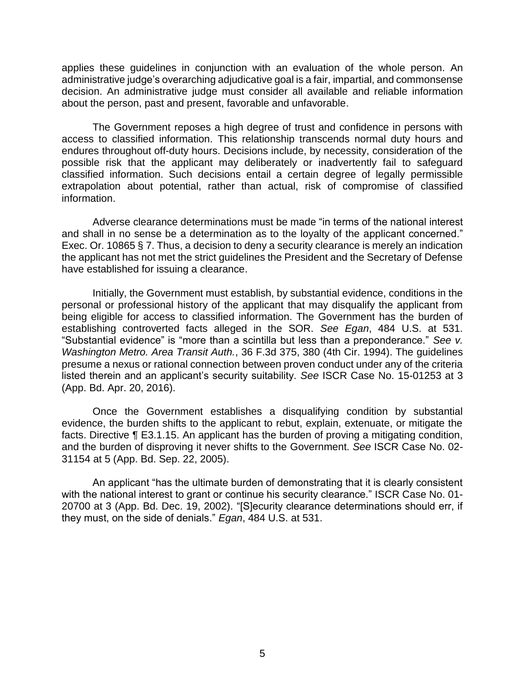applies these guidelines in conjunction with an evaluation of the whole person. An administrative judge's overarching adjudicative goal is a fair, impartial, and commonsense about the person, past and present, favorable and unfavorable. decision. An administrative judge must consider all available and reliable information

 The Government reposes a high degree of trust and confidence in persons with access to classified information. This relationship transcends normal duty hours and endures throughout off-duty hours. Decisions include, by necessity, consideration of the possible risk that the applicant may deliberately or inadvertently fail to safeguard classified information. Such decisions entail a certain degree of legally permissible extrapolation about potential, rather than actual, risk of compromise of classified information.

 Adverse clearance determinations must be made "in terms of the national interest and shall in no sense be a determination as to the loyalty of the applicant concerned." Exec. Or. 10865 § 7. Thus, a decision to deny a security clearance is merely an indication the applicant has not met the strict guidelines the President and the Secretary of Defense have established for issuing a clearance.

 Initially, the Government must establish, by substantial evidence, conditions in the personal or professional history of the applicant that may disqualify the applicant from being eligible for access to classified information. The Government has the burden of establishing controverted facts alleged in the SOR. *See Egan*, 484 U.S. at 531. "Substantial evidence" is "more than a scintilla but less than a preponderance." *See v. Washington Metro. Area Transit Auth.*, 36 F.3d 375, 380 (4th Cir. 1994). The guidelines presume a nexus or rational connection between proven conduct under any of the criteria listed therein and an applicant's security suitability. *See* ISCR Case No. 15-01253 at 3 (App. Bd. Apr. 20, 2016).

Once the Government establishes a disqualifying condition by substantial evidence, the burden shifts to the applicant to rebut, explain, extenuate, or mitigate the facts. Directive ¶ E3.1.15. An applicant has the burden of proving a mitigating condition, and the burden of disproving it never shifts to the Government. *See* ISCR Case No. 02- 31154 at 5 (App. Bd. Sep. 22, 2005).

An applicant "has the ultimate burden of demonstrating that it is clearly consistent with the national interest to grant or continue his security clearance." ISCR Case No. 01- 20700 at 3 (App. Bd. Dec. 19, 2002). "[S]ecurity clearance determinations should err, if they must, on the side of denials." *Egan*, 484 U.S. at 531.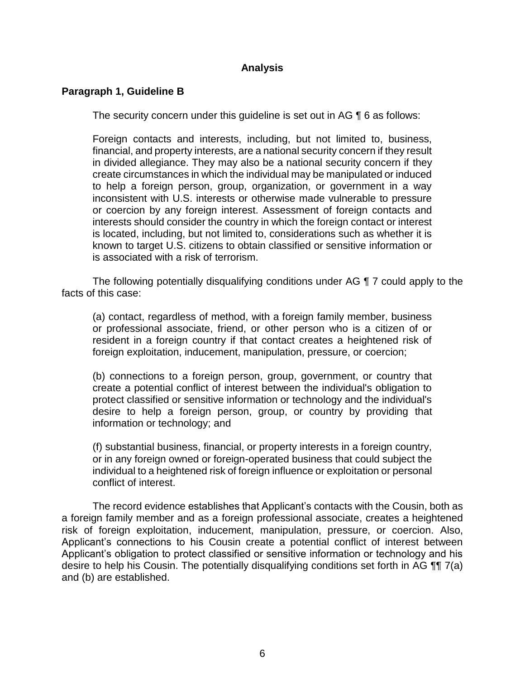## **Analysis**

## **Paragraph 1, Guideline B**

The security concern under this guideline is set out in AG ¶ 6 as follows:

 Foreign contacts and interests, including, but not limited to, business, financial, and property interests, are a national security concern if they result in divided allegiance. They may also be a national security concern if they create circumstances in which the individual may be manipulated or induced to help a foreign person, group, organization, or government in a way inconsistent with U.S. interests or otherwise made vulnerable to pressure or coercion by any foreign interest. Assessment of foreign contacts and interests should consider the country in which the foreign contact or interest known to target U.S. citizens to obtain classified or sensitive information or is located, including, but not limited to, considerations such as whether it is is associated with a risk of terrorism.

 The following potentially disqualifying conditions under AG ¶ 7 could apply to the facts of this case:

(a) contact, regardless of method, with a foreign family member, business or professional associate, friend, or other person who is a citizen of or resident in a foreign country if that contact creates a heightened risk of foreign exploitation, inducement, manipulation, pressure, or coercion;

(b) connections to a foreign person, group, government, or country that create a potential conflict of interest between the individual's obligation to protect classified or sensitive information or technology and the individual's desire to help a foreign person, group, or country by providing that information or technology; and

(f) substantial business, financial, or property interests in a foreign country, or in any foreign owned or foreign-operated business that could subject the individual to a heightened risk of foreign influence or exploitation or personal conflict of interest.

The record evidence establishes that Applicant's contacts with the Cousin, both as a foreign family member and as a foreign professional associate, creates a heightened risk of foreign exploitation, inducement, manipulation, pressure, or coercion. Also, Applicant's connections to his Cousin create a potential conflict of interest between Applicant's obligation to protect classified or sensitive information or technology and his desire to help his Cousin. The potentially disqualifying conditions set forth in AG ¶¶ 7(a) and (b) are established.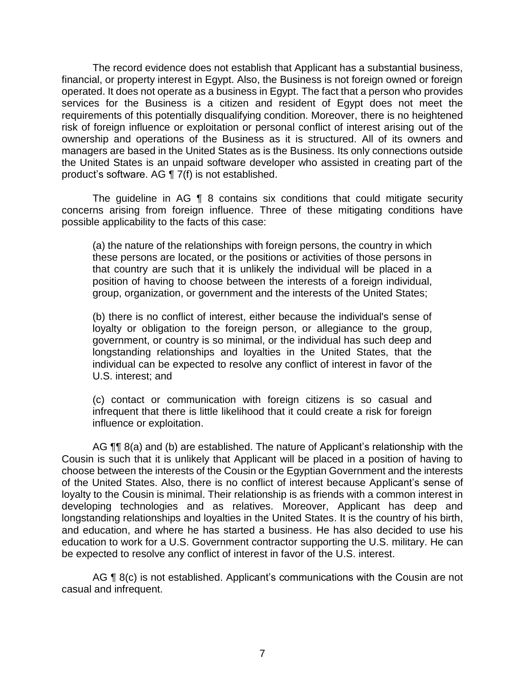operated. It does not operate as a business in Egypt. The fact that a person who provides services for the Business is a citizen and resident of Egypt does not meet the requirements of this potentially disqualifying condition. Moreover, there is no heightened risk of foreign influence or exploitation or personal conflict of interest arising out of the ownership and operations of the Business as it is structured. All of its owners and managers are based in the United States as is the Business. Its only connections outside the United States is an unpaid software developer who assisted in creating part of the The record evidence does not establish that Applicant has a substantial business, financial, or property interest in Egypt. Also, the Business is not foreign owned or foreign product's software. AG ¶ 7(f) is not established.

The guideline in AG  $\P$  8 contains six conditions that could mitigate security concerns arising from foreign influence. Three of these mitigating conditions have possible applicability to the facts of this case:

(a) the nature of the relationships with foreign persons, the country in which these persons are located, or the positions or activities of those persons in that country are such that it is unlikely the individual will be placed in a position of having to choose between the interests of a foreign individual, group, organization, or government and the interests of the United States;

(b) there is no conflict of interest, either because the individual's sense of loyalty or obligation to the foreign person, or allegiance to the group, government, or country is so minimal, or the individual has such deep and longstanding relationships and loyalties in the United States, that the individual can be expected to resolve any conflict of interest in favor of the U.S. interest; and

 (c) contact or communication with foreign citizens is so casual and infrequent that there is little likelihood that it could create a risk for foreign influence or exploitation.

AG  $\P\P$  8(a) and (b) are established. The nature of Applicant's relationship with the Cousin is such that it is unlikely that Applicant will be placed in a position of having to choose between the interests of the Cousin or the Egyptian Government and the interests of the United States. Also, there is no conflict of interest because Applicant's sense of loyalty to the Cousin is minimal. Their relationship is as friends with a common interest in developing technologies and as relatives. Moreover, Applicant has deep and longstanding relationships and loyalties in the United States. It is the country of his birth, and education, and where he has started a business. He has also decided to use his education to work for a U.S. Government contractor supporting the U.S. military. He can be expected to resolve any conflict of interest in favor of the U.S. interest.

AG ¶ 8(c) is not established. Applicant's communications with the Cousin are not casual and infrequent.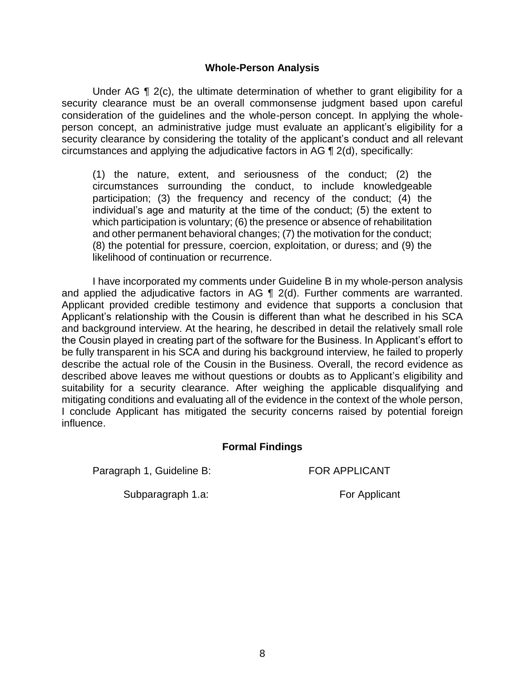#### **Whole-Person Analysis**

Under AG ¶ 2(c), the ultimate determination of whether to grant eligibility for a security clearance must be an overall commonsense judgment based upon careful consideration of the guidelines and the whole-person concept. In applying the whole- person concept, an administrative judge must evaluate an applicant's eligibility for a security clearance by considering the totality of the applicant's conduct and all relevant circumstances and applying the adjudicative factors in AG ¶ 2(d), specifically:

(1) the nature, extent, and seriousness of the conduct; (2) the circumstances surrounding the conduct, to include knowledgeable participation; (3) the frequency and recency of the conduct; (4) the individual's age and maturity at the time of the conduct; (5) the extent to which participation is voluntary; (6) the presence or absence of rehabilitation and other permanent behavioral changes; (7) the motivation for the conduct; (8) the potential for pressure, coercion, exploitation, or duress; and (9) the likelihood of continuation or recurrence.

 I have incorporated my comments under Guideline B in my whole-person analysis Applicant provided credible testimony and evidence that supports a conclusion that Applicant's relationship with the Cousin is different than what he described in his SCA and background interview. At the hearing, he described in detail the relatively small role the Cousin played in creating part of the software for the Business. In Applicant's effort to be fully transparent in his SCA and during his background interview, he failed to properly describe the actual role of the Cousin in the Business. Overall, the record evidence as described above leaves me without questions or doubts as to Applicant's eligibility and suitability for a security clearance. After weighing the applicable disqualifying and mitigating conditions and evaluating all of the evidence in the context of the whole person, I conclude Applicant has mitigated the security concerns raised by potential foreign and applied the adjudicative factors in AG ¶ 2(d). Further comments are warranted. influence.

### **Formal Findings**

Paragraph 1, Guideline B: FOR APPLICANT

Subparagraph 1.a: For Applicant